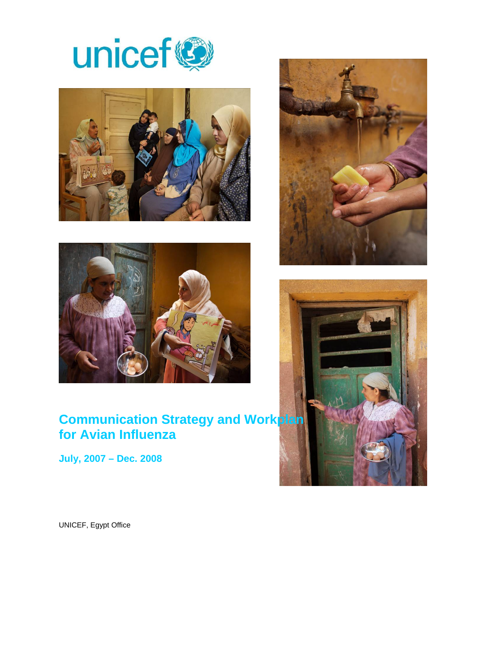





# **Communication Strategy and Workplan for Avian Influenza**

**July, 2007 – Dec. 2008** 





UNICEF, Egypt Office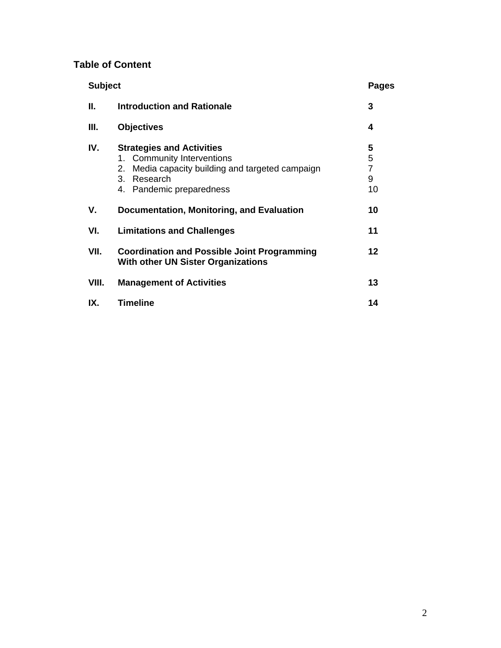# **Table of Content**

| <b>Subject</b> |                                                                                                                                                                     | Pages                               |
|----------------|---------------------------------------------------------------------------------------------------------------------------------------------------------------------|-------------------------------------|
| Ш.             | <b>Introduction and Rationale</b>                                                                                                                                   | 3                                   |
| Ш.             | <b>Objectives</b>                                                                                                                                                   | 4                                   |
| IV.            | <b>Strategies and Activities</b><br>1. Community Interventions<br>Media capacity building and targeted campaign<br>2.<br>Research<br>3.<br>4. Pandemic preparedness | 5<br>5<br>$\overline{7}$<br>9<br>10 |
| V.             | Documentation, Monitoring, and Evaluation                                                                                                                           | 10                                  |
| VI.            | <b>Limitations and Challenges</b>                                                                                                                                   | 11                                  |
| VII.           | <b>Coordination and Possible Joint Programming</b><br><b>With other UN Sister Organizations</b>                                                                     | $12 \,$                             |
| VIII.          | <b>Management of Activities</b>                                                                                                                                     | 13                                  |
| IX.            | <b>Timeline</b>                                                                                                                                                     | 14                                  |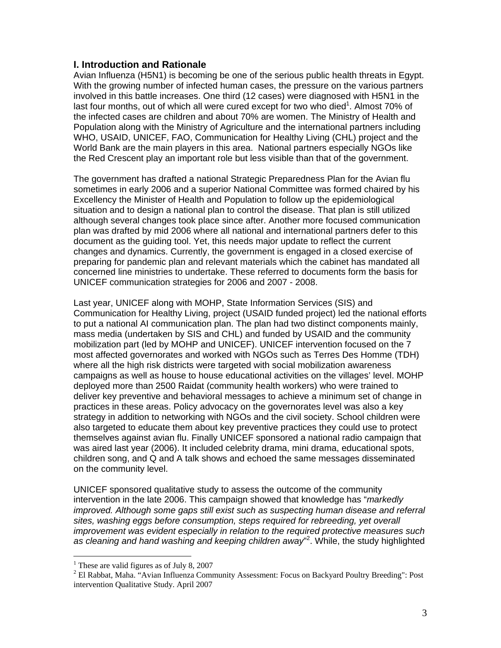### **I. Introduction and Rationale**

Avian Influenza (H5N1) is becoming be one of the serious public health threats in Egypt. With the growing number of infected human cases, the pressure on the various partners involved in this battle increases. One third (12 cases) were diagnosed with H5N1 in the last four months, out of which all were cured except for two who died<sup>1</sup>. Almost 70% of the infected cases are children and about 70% are women. The Ministry of Health and Population along with the Ministry of Agriculture and the international partners including WHO, USAID, UNICEF, FAO, Communication for Healthy Living (CHL) project and the World Bank are the main players in this area. National partners especially NGOs like the Red Crescent play an important role but less visible than that of the government.

The government has drafted a national Strategic Preparedness Plan for the Avian flu sometimes in early 2006 and a superior National Committee was formed chaired by his Excellency the Minister of Health and Population to follow up the epidemiological situation and to design a national plan to control the disease. That plan is still utilized although several changes took place since after. Another more focused communication plan was drafted by mid 2006 where all national and international partners defer to this document as the guiding tool. Yet, this needs major update to reflect the current changes and dynamics. Currently, the government is engaged in a closed exercise of preparing for pandemic plan and relevant materials which the cabinet has mandated all concerned line ministries to undertake. These referred to documents form the basis for UNICEF communication strategies for 2006 and 2007 - 2008.

Last year, UNICEF along with MOHP, State Information Services (SIS) and Communication for Healthy Living, project (USAID funded project) led the national efforts to put a national AI communication plan. The plan had two distinct components mainly, mass media (undertaken by SIS and CHL) and funded by USAID and the community mobilization part (led by MOHP and UNICEF). UNICEF intervention focused on the 7 most affected governorates and worked with NGOs such as Terres Des Homme (TDH) where all the high risk districts were targeted with social mobilization awareness campaigns as well as house to house educational activities on the villages' level. MOHP deployed more than 2500 Raidat (community health workers) who were trained to deliver key preventive and behavioral messages to achieve a minimum set of change in practices in these areas. Policy advocacy on the governorates level was also a key strategy in addition to networking with NGOs and the civil society. School children were also targeted to educate them about key preventive practices they could use to protect themselves against avian flu. Finally UNICEF sponsored a national radio campaign that was aired last year (2006). It included celebrity drama, mini drama, educational spots, children song, and Q and A talk shows and echoed the same messages disseminated on the community level.

UNICEF sponsored qualitative study to assess the outcome of the community intervention in the late 2006. This campaign showed that knowledge has "*markedly improved. Although some gaps still exist such as suspecting human disease and referral sites, washing eggs before consumption, steps required for rebreeding, yet overall improvement was evident especially in relation to the required protective measures such*  as cleaning and hand washing and keeping children away"<sup>2</sup>. While, the study highlighted

 $\overline{a}$ 

<sup>&</sup>lt;sup>1</sup> These are valid figures as of July 8, 2007

<sup>&</sup>lt;sup>2</sup> El Rabbat, Maha. "Avian Influenza Community Assessment: Focus on Backyard Poultry Breeding": Post intervention Qualitative Study. April 2007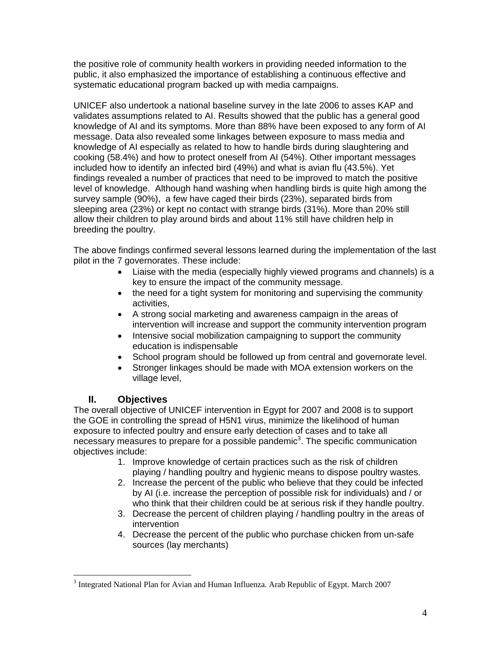the positive role of community health workers in providing needed information to the public, it also emphasized the importance of establishing a continuous effective and systematic educational program backed up with media campaigns.

UNICEF also undertook a national baseline survey in the late 2006 to asses KAP and validates assumptions related to AI. Results showed that the public has a general good knowledge of AI and its symptoms. More than 88% have been exposed to any form of AI message. Data also revealed some linkages between exposure to mass media and knowledge of AI especially as related to how to handle birds during slaughtering and cooking (58.4%) and how to protect oneself from AI (54%). Other important messages included how to identify an infected bird (49%) and what is avian flu (43.5%). Yet findings revealed a number of practices that need to be improved to match the positive level of knowledge. Although hand washing when handling birds is quite high among the survey sample (90%), a few have caged their birds (23%), separated birds from sleeping area (23%) or kept no contact with strange birds (31%). More than 20% still allow their children to play around birds and about 11% still have children help in breeding the poultry.

The above findings confirmed several lessons learned during the implementation of the last pilot in the 7 governorates. These include:

- Liaise with the media (especially highly viewed programs and channels) is a key to ensure the impact of the community message.
- the need for a tight system for monitoring and supervising the community activities,
- A strong social marketing and awareness campaign in the areas of intervention will increase and support the community intervention program
- Intensive social mobilization campaigning to support the community education is indispensable
- School program should be followed up from central and governorate level.
- Stronger linkages should be made with MOA extension workers on the village level,

### **II. Objectives**

 $\overline{a}$ 

The overall objective of UNICEF intervention in Egypt for 2007 and 2008 is to support the GOE in controlling the spread of H5N1 virus, minimize the likelihood of human exposure to infected poultry and ensure early detection of cases and to take all necessary measures to prepare for a possible pandemic<sup>3</sup>. The specific communication objectives include:

- 1. Improve knowledge of certain practices such as the risk of children playing / handling poultry and hygienic means to dispose poultry wastes.
- 2. Increase the percent of the public who believe that they could be infected by AI (i.e. increase the perception of possible risk for individuals) and / or who think that their children could be at serious risk if they handle poultry.
- 3. Decrease the percent of children playing / handling poultry in the areas of intervention
- 4. Decrease the percent of the public who purchase chicken from un-safe sources (lay merchants)

 $3$  Integrated National Plan for Avian and Human Influenza. Arab Republic of Egypt. March 2007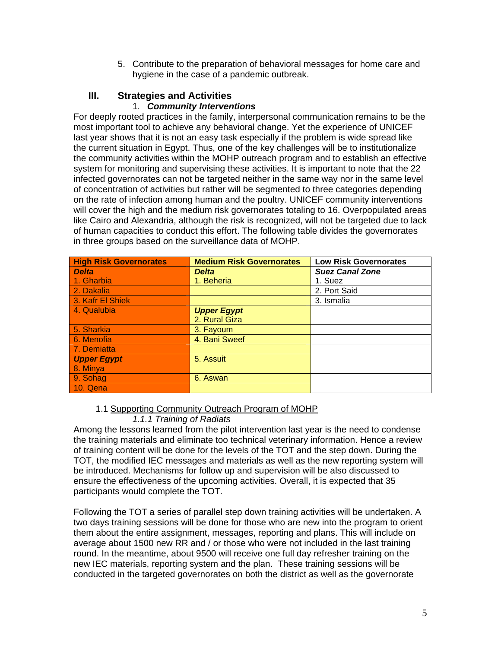5. Contribute to the preparation of behavioral messages for home care and hygiene in the case of a pandemic outbreak.

# **III. Strategies and Activities**

### 1. *Community Interventions*

For deeply rooted practices in the family, interpersonal communication remains to be the most important tool to achieve any behavioral change. Yet the experience of UNICEF last year shows that it is not an easy task especially if the problem is wide spread like the current situation in Egypt. Thus, one of the key challenges will be to institutionalize the community activities within the MOHP outreach program and to establish an effective system for monitoring and supervising these activities. It is important to note that the 22 infected governorates can not be targeted neither in the same way nor in the same level of concentration of activities but rather will be segmented to three categories depending on the rate of infection among human and the poultry. UNICEF community interventions will cover the high and the medium risk governorates totaling to 16. Overpopulated areas like Cairo and Alexandria, although the risk is recognized, will not be targeted due to lack of human capacities to conduct this effort. The following table divides the governorates in three groups based on the surveillance data of MOHP.

| <b>High Risk Governorates</b> | <b>Medium Risk Governorates</b> | <b>Low Risk Governorates</b> |
|-------------------------------|---------------------------------|------------------------------|
| <b>Delta</b>                  | <b>Delta</b>                    | <b>Suez Canal Zone</b>       |
| 1. Gharbia                    | 1. Beheria                      | 1. Suez                      |
| 2. Dakalia                    |                                 | 2. Port Said                 |
| 3. Kafr El Shiek              |                                 | 3. Ismalia                   |
| 4. Qualubia                   | <b>Upper Egypt</b>              |                              |
|                               | 2. Rural Giza                   |                              |
| 5. Sharkia                    | 3. Fayoum                       |                              |
| 6. Menofia                    | 4. Bani Sweef                   |                              |
| 7. Demiatta                   |                                 |                              |
| <b>Upper Egypt</b>            | 5. Assuit                       |                              |
| 8. Minya                      |                                 |                              |
| 9. Sohag                      | 6. Aswan                        |                              |
| 10. Qena                      |                                 |                              |

### 1.1 Supporting Community Outreach Program of MOHP

### *1.1.1 Training of Radiats*

Among the lessons learned from the pilot intervention last year is the need to condense the training materials and eliminate too technical veterinary information. Hence a review of training content will be done for the levels of the TOT and the step down. During the TOT, the modified IEC messages and materials as well as the new reporting system will be introduced. Mechanisms for follow up and supervision will be also discussed to ensure the effectiveness of the upcoming activities. Overall, it is expected that 35 participants would complete the TOT.

Following the TOT a series of parallel step down training activities will be undertaken. A two days training sessions will be done for those who are new into the program to orient them about the entire assignment, messages, reporting and plans. This will include on average about 1500 new RR and / or those who were not included in the last training round. In the meantime, about 9500 will receive one full day refresher training on the new IEC materials, reporting system and the plan. These training sessions will be conducted in the targeted governorates on both the district as well as the governorate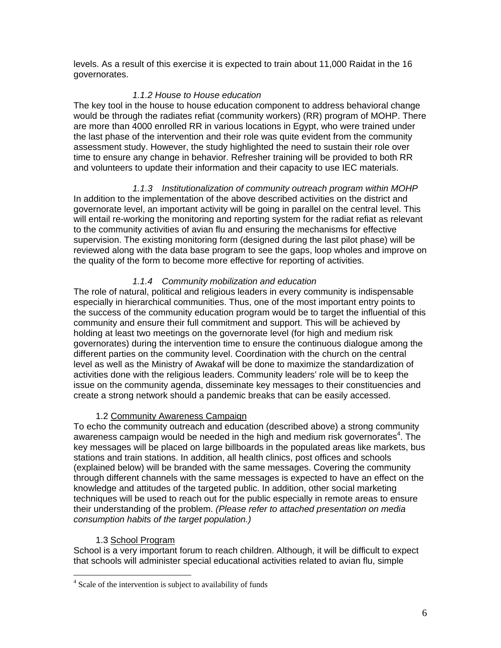levels. As a result of this exercise it is expected to train about 11,000 Raidat in the 16 governorates.

### *1.1.2 House to House education*

The key tool in the house to house education component to address behavioral change would be through the radiates refiat (community workers) (RR) program of MOHP. There are more than 4000 enrolled RR in various locations in Egypt, who were trained under the last phase of the intervention and their role was quite evident from the community assessment study. However, the study highlighted the need to sustain their role over time to ensure any change in behavior. Refresher training will be provided to both RR and volunteers to update their information and their capacity to use IEC materials.

*1.1.3 Institutionalization of community outreach program within MOHP*  In addition to the implementation of the above described activities on the district and governorate level, an important activity will be going in parallel on the central level. This will entail re-working the monitoring and reporting system for the radiat refiat as relevant to the community activities of avian flu and ensuring the mechanisms for effective supervision. The existing monitoring form (designed during the last pilot phase) will be reviewed along with the data base program to see the gaps, loop wholes and improve on the quality of the form to become more effective for reporting of activities.

### *1.1.4 Community mobilization and education*

The role of natural, political and religious leaders in every community is indispensable especially in hierarchical communities. Thus, one of the most important entry points to the success of the community education program would be to target the influential of this community and ensure their full commitment and support. This will be achieved by holding at least two meetings on the governorate level (for high and medium risk governorates) during the intervention time to ensure the continuous dialogue among the different parties on the community level. Coordination with the church on the central level as well as the Ministry of Awakaf will be done to maximize the standardization of activities done with the religious leaders. Community leaders' role will be to keep the issue on the community agenda, disseminate key messages to their constituencies and create a strong network should a pandemic breaks that can be easily accessed.

### 1.2 Community Awareness Campaign

To echo the community outreach and education (described above) a strong community awareness campaign would be needed in the high and medium risk governorates<sup>4</sup>. The key messages will be placed on large billboards in the populated areas like markets, bus stations and train stations. In addition, all health clinics, post offices and schools (explained below) will be branded with the same messages. Covering the community through different channels with the same messages is expected to have an effect on the knowledge and attitudes of the targeted public. In addition, other social marketing techniques will be used to reach out for the public especially in remote areas to ensure their understanding of the problem. *(Please refer to attached presentation on media consumption habits of the target population.)*

### 1.3 School Program

 $\overline{a}$ 

School is a very important forum to reach children. Although, it will be difficult to expect that schools will administer special educational activities related to avian flu, simple

<sup>&</sup>lt;sup>4</sup> Scale of the intervention is subject to availability of funds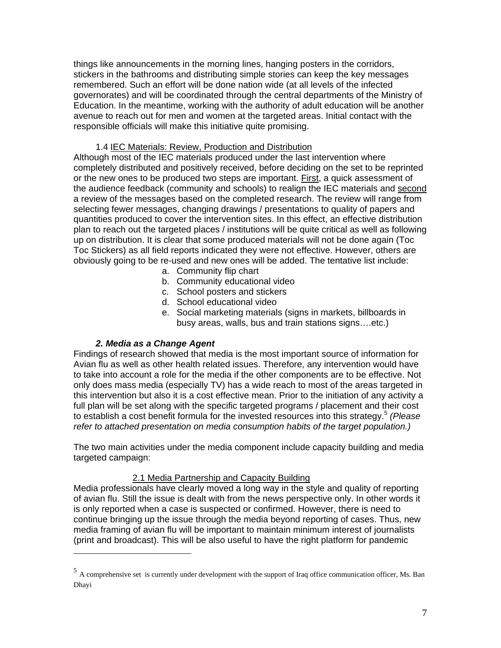things like announcements in the morning lines, hanging posters in the corridors, stickers in the bathrooms and distributing simple stories can keep the key messages remembered. Such an effort will be done nation wide (at all levels of the infected governorates) and will be coordinated through the central departments of the Ministry of Education. In the meantime, working with the authority of adult education will be another avenue to reach out for men and women at the targeted areas. Initial contact with the responsible officials will make this initiative quite promising.

### 1.4 IEC Materials: Review, Production and Distribution

Although most of the IEC materials produced under the last intervention where completely distributed and positively received, before deciding on the set to be reprinted or the new ones to be produced two steps are important. First, a quick assessment of the audience feedback (community and schools) to realign the IEC materials and second a review of the messages based on the completed research. The review will range from selecting fewer messages, changing drawings / presentations to quality of papers and quantities produced to cover the intervention sites. In this effect, an effective distribution plan to reach out the targeted places / institutions will be quite critical as well as following up on distribution. It is clear that some produced materials will not be done again (Toc Toc Stickers) as all field reports indicated they were not effective. However, others are obviously going to be re-used and new ones will be added. The tentative list include:

- a. Community flip chart
- b. Community educational video
- c. School posters and stickers
- d. School educational video
- e. Social marketing materials (signs in markets, billboards in busy areas, walls, bus and train stations signs….etc.)

### *2. Media as a Change Agent*

 $\overline{a}$ 

Findings of research showed that media is the most important source of information for Avian flu as well as other health related issues. Therefore, any intervention would have to take into account a role for the media if the other components are to be effective. Not only does mass media (especially TV) has a wide reach to most of the areas targeted in this intervention but also it is a cost effective mean. Prior to the initiation of any activity a full plan will be set along with the specific targeted programs / placement and their cost to establish a cost benefit formula for the invested resources into this strategy.<sup>5</sup> *(Please refer to attached presentation on media consumption habits of the target population.)*

The two main activities under the media component include capacity building and media targeted campaign:

### 2.1 Media Partnership and Capacity Building

Media professionals have clearly moved a long way in the style and quality of reporting of avian flu. Still the issue is dealt with from the news perspective only. In other words it is only reported when a case is suspected or confirmed. However, there is need to continue bringing up the issue through the media beyond reporting of cases. Thus, new media framing of avian flu will be important to maintain minimum interest of journalists (print and broadcast). This will be also useful to have the right platform for pandemic

<sup>5</sup> A comprehensive set is currently under development with the support of Iraq office communication officer, Ms. Ban Dhayi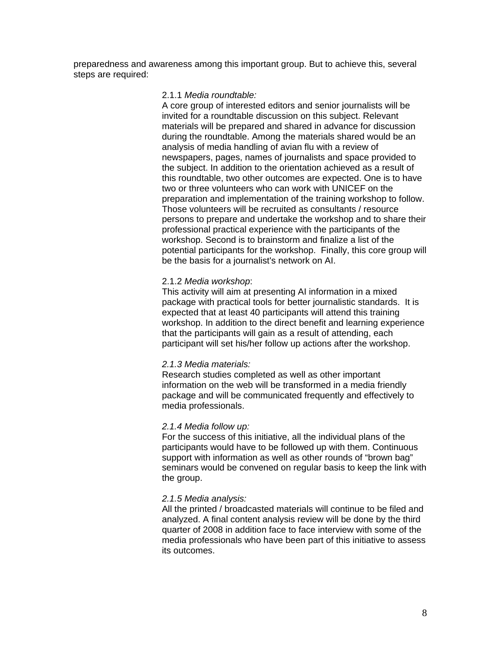preparedness and awareness among this important group. But to achieve this, several steps are required:

#### 2.1.1 *Media roundtable:*

A core group of interested editors and senior journalists will be invited for a roundtable discussion on this subject. Relevant materials will be prepared and shared in advance for discussion during the roundtable. Among the materials shared would be an analysis of media handling of avian flu with a review of newspapers, pages, names of journalists and space provided to the subject. In addition to the orientation achieved as a result of this roundtable, two other outcomes are expected. One is to have two or three volunteers who can work with UNICEF on the preparation and implementation of the training workshop to follow. Those volunteers will be recruited as consultants / resource persons to prepare and undertake the workshop and to share their professional practical experience with the participants of the workshop. Second is to brainstorm and finalize a list of the potential participants for the workshop. Finally, this core group will be the basis for a journalist's network on AI.

#### 2.1.2 *Media workshop*:

This activity will aim at presenting AI information in a mixed package with practical tools for better journalistic standards. It is expected that at least 40 participants will attend this training workshop. In addition to the direct benefit and learning experience that the participants will gain as a result of attending, each participant will set his/her follow up actions after the workshop.

#### *2.1.3 Media materials:*

Research studies completed as well as other important information on the web will be transformed in a media friendly package and will be communicated frequently and effectively to media professionals.

#### *2.1.4 Media follow up:*

For the success of this initiative, all the individual plans of the participants would have to be followed up with them. Continuous support with information as well as other rounds of "brown bag" seminars would be convened on regular basis to keep the link with the group.

#### *2.1.5 Media analysis:*

All the printed / broadcasted materials will continue to be filed and analyzed. A final content analysis review will be done by the third quarter of 2008 in addition face to face interview with some of the media professionals who have been part of this initiative to assess its outcomes.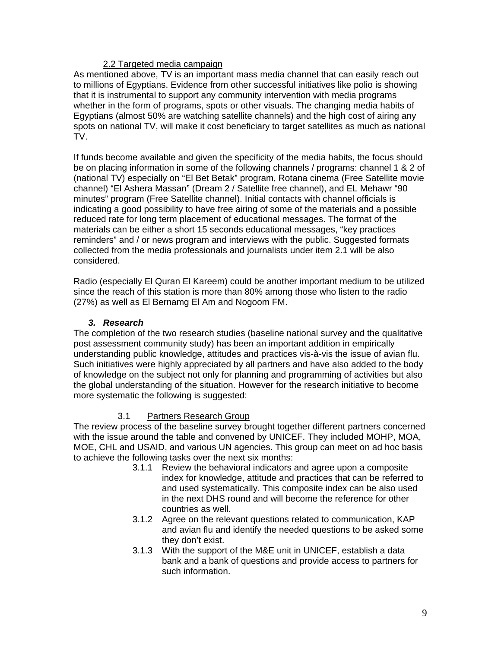### 2.2 Targeted media campaign

As mentioned above, TV is an important mass media channel that can easily reach out to millions of Egyptians. Evidence from other successful initiatives like polio is showing that it is instrumental to support any community intervention with media programs whether in the form of programs, spots or other visuals. The changing media habits of Egyptians (almost 50% are watching satellite channels) and the high cost of airing any spots on national TV, will make it cost beneficiary to target satellites as much as national TV.

If funds become available and given the specificity of the media habits, the focus should be on placing information in some of the following channels / programs: channel 1 & 2 of (national TV) especially on "El Bet Betak" program, Rotana cinema (Free Satellite movie channel) "El Ashera Massan" (Dream 2 / Satellite free channel), and EL Mehawr "90 minutes" program (Free Satellite channel). Initial contacts with channel officials is indicating a good possibility to have free airing of some of the materials and a possible reduced rate for long term placement of educational messages. The format of the materials can be either a short 15 seconds educational messages, "key practices reminders" and / or news program and interviews with the public. Suggested formats collected from the media professionals and journalists under item 2.1 will be also considered.

Radio (especially El Quran El Kareem) could be another important medium to be utilized since the reach of this station is more than 80% among those who listen to the radio (27%) as well as El Bernamg El Am and Nogoom FM.

### *3. Research*

The completion of the two research studies (baseline national survey and the qualitative post assessment community study) has been an important addition in empirically understanding public knowledge, attitudes and practices vis-à-vis the issue of avian flu. Such initiatives were highly appreciated by all partners and have also added to the body of knowledge on the subject not only for planning and programming of activities but also the global understanding of the situation. However for the research initiative to become more systematic the following is suggested:

### 3.1 Partners Research Group

The review process of the baseline survey brought together different partners concerned with the issue around the table and convened by UNICEF. They included MOHP, MOA, MOE, CHL and USAID, and various UN agencies. This group can meet on ad hoc basis to achieve the following tasks over the next six months:

- 3.1.1 Review the behavioral indicators and agree upon a composite index for knowledge, attitude and practices that can be referred to and used systematically. This composite index can be also used in the next DHS round and will become the reference for other countries as well.
- 3.1.2 Agree on the relevant questions related to communication, KAP and avian flu and identify the needed questions to be asked some they don't exist.
- 3.1.3 With the support of the M&E unit in UNICEF, establish a data bank and a bank of questions and provide access to partners for such information.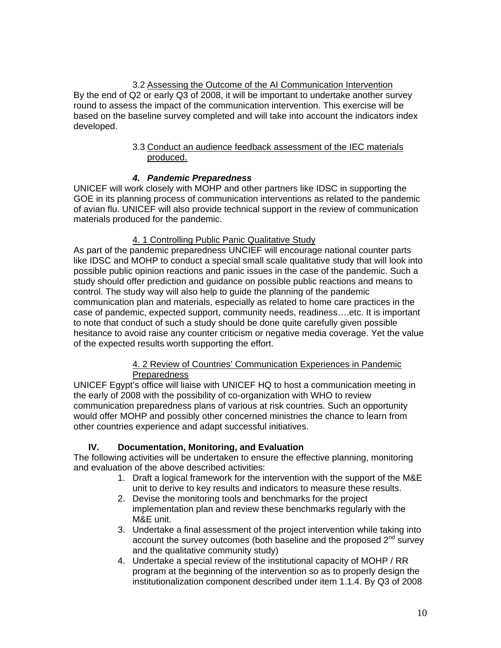# 3.2 Assessing the Outcome of the AI Communication Intervention

By the end of Q2 or early Q3 of 2008, it will be important to undertake another survey round to assess the impact of the communication intervention. This exercise will be based on the baseline survey completed and will take into account the indicators index developed.

### 3.3 Conduct an audience feedback assessment of the IEC materials produced.

## *4. Pandemic Preparedness*

UNICEF will work closely with MOHP and other partners like IDSC in supporting the GOE in its planning process of communication interventions as related to the pandemic of avian flu. UNICEF will also provide technical support in the review of communication materials produced for the pandemic.

### 4. 1 Controlling Public Panic Qualitative Study

As part of the pandemic preparedness UNCIEF will encourage national counter parts like IDSC and MOHP to conduct a special small scale qualitative study that will look into possible public opinion reactions and panic issues in the case of the pandemic. Such a study should offer prediction and guidance on possible public reactions and means to control. The study way will also help to guide the planning of the pandemic communication plan and materials, especially as related to home care practices in the case of pandemic, expected support, community needs, readiness….etc. It is important to note that conduct of such a study should be done quite carefully given possible hesitance to avoid raise any counter criticism or negative media coverage. Yet the value of the expected results worth supporting the effort.

### 4. 2 Review of Countries' Communication Experiences in Pandemic **Preparedness**

UNICEF Egypt's office will liaise with UNICEF HQ to host a communication meeting in the early of 2008 with the possibility of co-organization with WHO to review communication preparedness plans of various at risk countries. Such an opportunity would offer MOHP and possibly other concerned ministries the chance to learn from other countries experience and adapt successful initiatives.

### **IV. Documentation, Monitoring, and Evaluation**

The following activities will be undertaken to ensure the effective planning, monitoring and evaluation of the above described activities:

- 1. Draft a logical framework for the intervention with the support of the M&E unit to derive to key results and indicators to measure these results.
- 2. Devise the monitoring tools and benchmarks for the project implementation plan and review these benchmarks regularly with the M&E unit.
- 3. Undertake a final assessment of the project intervention while taking into account the survey outcomes (both baseline and the proposed  $2<sup>nd</sup>$  survey and the qualitative community study)
- 4. Undertake a special review of the institutional capacity of MOHP / RR program at the beginning of the intervention so as to properly design the institutionalization component described under item 1.1.4. By Q3 of 2008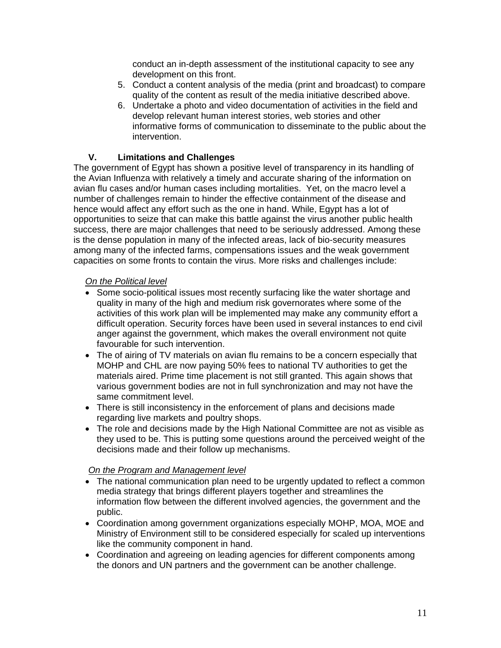conduct an in-depth assessment of the institutional capacity to see any development on this front.

- 5. Conduct a content analysis of the media (print and broadcast) to compare quality of the content as result of the media initiative described above.
- 6. Undertake a photo and video documentation of activities in the field and develop relevant human interest stories, web stories and other informative forms of communication to disseminate to the public about the intervention.

### **V. Limitations and Challenges**

The government of Egypt has shown a positive level of transparency in its handling of the Avian Influenza with relatively a timely and accurate sharing of the information on avian flu cases and/or human cases including mortalities. Yet, on the macro level a number of challenges remain to hinder the effective containment of the disease and hence would affect any effort such as the one in hand. While, Egypt has a lot of opportunities to seize that can make this battle against the virus another public health success, there are major challenges that need to be seriously addressed. Among these is the dense population in many of the infected areas, lack of bio-security measures among many of the infected farms, compensations issues and the weak government capacities on some fronts to contain the virus. More risks and challenges include:

### *On the Political level*

- Some socio-political issues most recently surfacing like the water shortage and quality in many of the high and medium risk governorates where some of the activities of this work plan will be implemented may make any community effort a difficult operation. Security forces have been used in several instances to end civil anger against the government, which makes the overall environment not quite favourable for such intervention.
- The of airing of TV materials on avian flu remains to be a concern especially that MOHP and CHL are now paying 50% fees to national TV authorities to get the materials aired. Prime time placement is not still granted. This again shows that various government bodies are not in full synchronization and may not have the same commitment level.
- There is still inconsistency in the enforcement of plans and decisions made regarding live markets and poultry shops.
- The role and decisions made by the High National Committee are not as visible as they used to be. This is putting some questions around the perceived weight of the decisions made and their follow up mechanisms.

### *On the Program and Management level*

- The national communication plan need to be urgently updated to reflect a common media strategy that brings different players together and streamlines the information flow between the different involved agencies, the government and the public.
- Coordination among government organizations especially MOHP, MOA, MOE and Ministry of Environment still to be considered especially for scaled up interventions like the community component in hand.
- Coordination and agreeing on leading agencies for different components among the donors and UN partners and the government can be another challenge.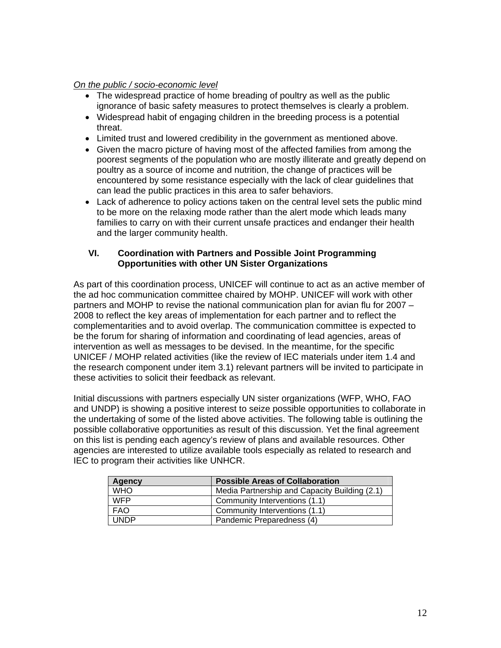### *On the public / socio-economic level*

- The widespread practice of home breading of poultry as well as the public ignorance of basic safety measures to protect themselves is clearly a problem.
- Widespread habit of engaging children in the breeding process is a potential threat.
- Limited trust and lowered credibility in the government as mentioned above.
- Given the macro picture of having most of the affected families from among the poorest segments of the population who are mostly illiterate and greatly depend on poultry as a source of income and nutrition, the change of practices will be encountered by some resistance especially with the lack of clear guidelines that can lead the public practices in this area to safer behaviors.
- Lack of adherence to policy actions taken on the central level sets the public mind to be more on the relaxing mode rather than the alert mode which leads many families to carry on with their current unsafe practices and endanger their health and the larger community health.

### **VI. Coordination with Partners and Possible Joint Programming Opportunities with other UN Sister Organizations**

As part of this coordination process, UNICEF will continue to act as an active member of the ad hoc communication committee chaired by MOHP. UNICEF will work with other partners and MOHP to revise the national communication plan for avian flu for 2007 – 2008 to reflect the key areas of implementation for each partner and to reflect the complementarities and to avoid overlap. The communication committee is expected to be the forum for sharing of information and coordinating of lead agencies, areas of intervention as well as messages to be devised. In the meantime, for the specific UNICEF / MOHP related activities (like the review of IEC materials under item 1.4 and the research component under item 3.1) relevant partners will be invited to participate in these activities to solicit their feedback as relevant.

Initial discussions with partners especially UN sister organizations (WFP, WHO, FAO and UNDP) is showing a positive interest to seize possible opportunities to collaborate in the undertaking of some of the listed above activities. The following table is outlining the possible collaborative opportunities as result of this discussion. Yet the final agreement on this list is pending each agency's review of plans and available resources. Other agencies are interested to utilize available tools especially as related to research and IEC to program their activities like UNHCR.

| Agency      | <b>Possible Areas of Collaboration</b>        |
|-------------|-----------------------------------------------|
| <b>WHO</b>  | Media Partnership and Capacity Building (2.1) |
| <b>WFP</b>  | Community Interventions (1.1)                 |
| <b>FAO</b>  | Community Interventions (1.1)                 |
| <b>UNDP</b> | Pandemic Preparedness (4)                     |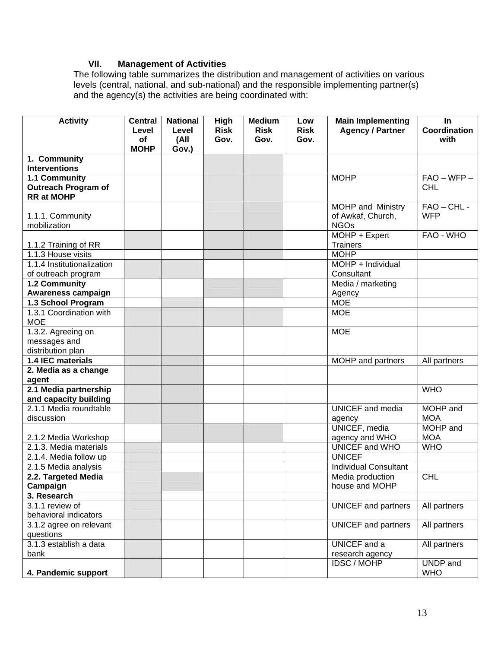### **VII. Management of Activities**

The following table summarizes the distribution and management of activities on various levels (central, national, and sub-national) and the responsible implementing partner(s) and the agency(s) the activities are being coordinated with:

| <b>Activity</b>                                 | <b>Central</b>           | <b>National</b> | High        | <b>Medium</b> | Low         | <b>Main Implementing</b>       | In            |
|-------------------------------------------------|--------------------------|-----------------|-------------|---------------|-------------|--------------------------------|---------------|
|                                                 | Level                    | Level           | <b>Risk</b> | <b>Risk</b>   | <b>Risk</b> | <b>Agency / Partner</b>        | Coordination  |
|                                                 | <b>of</b><br><b>MOHP</b> | (All<br>Gov.)   | Gov.        | Gov.          | Gov.        |                                | with          |
| 1. Community                                    |                          |                 |             |               |             |                                |               |
| <b>Interventions</b>                            |                          |                 |             |               |             |                                |               |
| 1.1 Community                                   |                          |                 |             |               |             | <b>MOHP</b>                    | $FAO - WFP -$ |
| <b>Outreach Program of</b>                      |                          |                 |             |               |             |                                | <b>CHL</b>    |
| <b>RR</b> at MOHP                               |                          |                 |             |               |             |                                |               |
|                                                 |                          |                 |             |               |             | <b>MOHP and Ministry</b>       | $FAO - CHL -$ |
| 1.1.1. Community                                |                          |                 |             |               |             | of Awkaf, Church,              | <b>WFP</b>    |
| mobilization                                    |                          |                 |             |               |             | <b>NGOs</b><br>MOHP + Expert   | FAO - WHO     |
| 1.1.2 Training of RR                            |                          |                 |             |               |             | <b>Trainers</b>                |               |
| 1.1.3 House visits                              |                          |                 |             |               |             | <b>MOHP</b>                    |               |
| 1.1.4 Institutionalization                      |                          |                 |             |               |             | $MOHP + Individual$            |               |
| of outreach program                             |                          |                 |             |               |             | Consultant                     |               |
| 1.2 Community                                   |                          |                 |             |               |             | Media / marketing              |               |
| <b>Awareness campaign</b>                       |                          |                 |             |               |             | Agency                         |               |
| 1.3 School Program                              |                          |                 |             |               |             | <b>MOE</b>                     |               |
| 1.3.1 Coordination with                         |                          |                 |             |               |             | <b>MOE</b>                     |               |
| <b>MOE</b>                                      |                          |                 |             |               |             |                                |               |
| 1.3.2. Agreeing on                              |                          |                 |             |               |             | <b>MOE</b>                     |               |
| messages and                                    |                          |                 |             |               |             |                                |               |
| distribution plan                               |                          |                 |             |               |             |                                |               |
| 1.4 IEC materials                               |                          |                 |             |               |             | MOHP and partners              | All partners  |
| 2. Media as a change                            |                          |                 |             |               |             |                                |               |
| agent                                           |                          |                 |             |               |             |                                |               |
| 2.1 Media partnership                           |                          |                 |             |               |             |                                | <b>WHO</b>    |
| and capacity building<br>2.1.1 Media roundtable |                          |                 |             |               |             | <b>UNICEF</b> and media        | MOHP and      |
| discussion                                      |                          |                 |             |               |             |                                | <b>MOA</b>    |
|                                                 |                          |                 |             |               |             | agency<br><b>UNICEF, media</b> | MOHP and      |
| 2.1.2 Media Workshop                            |                          |                 |             |               |             | agency and WHO                 | <b>MOA</b>    |
| 2.1.3. Media materials                          |                          |                 |             |               |             | UNICEF and WHO                 | <b>WHO</b>    |
| 2.1.4. Media follow up                          |                          |                 |             |               |             | <b>UNICEF</b>                  |               |
| 2.1.5 Media analysis                            |                          |                 |             |               |             | <b>Individual Consultant</b>   |               |
| 2.2. Targeted Media                             |                          |                 |             |               |             | Media production               | CHL           |
| Campaign                                        |                          |                 |             |               |             | house and MOHP                 |               |
| 3. Research                                     |                          |                 |             |               |             |                                |               |
| 3.1.1 review of                                 |                          |                 |             |               |             | <b>UNICEF</b> and partners     | All partners  |
| behavioral indicators                           |                          |                 |             |               |             |                                |               |
| 3.1.2 agree on relevant                         |                          |                 |             |               |             | <b>UNICEF</b> and partners     | All partners  |
| questions                                       |                          |                 |             |               |             |                                |               |
| 3.1.3 establish a data                          |                          |                 |             |               |             | UNICEF and a                   | All partners  |
| bank                                            |                          |                 |             |               |             | research agency                |               |
|                                                 |                          |                 |             |               |             | <b>IDSC / MOHP</b>             | UNDP and      |
| 4. Pandemic support                             |                          |                 |             |               |             |                                | <b>WHO</b>    |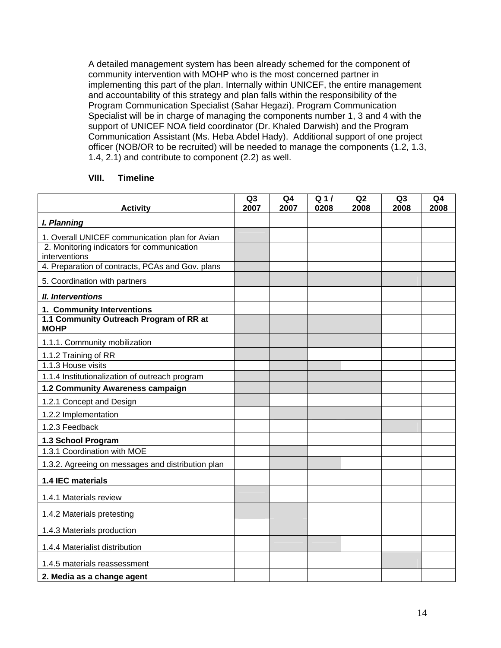A detailed management system has been already schemed for the component of community intervention with MOHP who is the most concerned partner in implementing this part of the plan. Internally within UNICEF, the entire management and accountability of this strategy and plan falls within the responsibility of the Program Communication Specialist (Sahar Hegazi). Program Communication Specialist will be in charge of managing the components number 1, 3 and 4 with the support of UNICEF NOA field coordinator (Dr. Khaled Darwish) and the Program Communication Assistant (Ms. Heba Abdel Hady). Additional support of one project officer (NOB/OR to be recruited) will be needed to manage the components (1.2, 1.3, 1.4, 2.1) and contribute to component (2.2) as well.

### **VIII. Timeline**

| <b>Activity</b>                                                   | Q3<br>2007 | Q <sub>4</sub><br>2007 | Q <sub>1</sub><br>0208 | Q2<br>2008 | Q3<br>2008 | Q <sub>4</sub><br>2008 |
|-------------------------------------------------------------------|------------|------------------------|------------------------|------------|------------|------------------------|
| I. Planning                                                       |            |                        |                        |            |            |                        |
| 1. Overall UNICEF communication plan for Avian                    |            |                        |                        |            |            |                        |
| 2. Monitoring indicators for communication                        |            |                        |                        |            |            |                        |
| interventions<br>4. Preparation of contracts, PCAs and Gov. plans |            |                        |                        |            |            |                        |
| 5. Coordination with partners                                     |            |                        |                        |            |            |                        |
| <b>II.</b> Interventions                                          |            |                        |                        |            |            |                        |
| 1. Community Interventions                                        |            |                        |                        |            |            |                        |
| 1.1 Community Outreach Program of RR at<br><b>MOHP</b>            |            |                        |                        |            |            |                        |
| 1.1.1. Community mobilization                                     |            |                        |                        |            |            |                        |
| 1.1.2 Training of RR                                              |            |                        |                        |            |            |                        |
| 1.1.3 House visits                                                |            |                        |                        |            |            |                        |
| 1.1.4 Institutionalization of outreach program                    |            |                        |                        |            |            |                        |
| 1.2 Community Awareness campaign                                  |            |                        |                        |            |            |                        |
| 1.2.1 Concept and Design                                          |            |                        |                        |            |            |                        |
| 1.2.2 Implementation                                              |            |                        |                        |            |            |                        |
| 1.2.3 Feedback                                                    |            |                        |                        |            |            |                        |
| 1.3 School Program                                                |            |                        |                        |            |            |                        |
| 1.3.1 Coordination with MOE                                       |            |                        |                        |            |            |                        |
| 1.3.2. Agreeing on messages and distribution plan                 |            |                        |                        |            |            |                        |
| 1.4 IEC materials                                                 |            |                        |                        |            |            |                        |
| 1.4.1 Materials review                                            |            |                        |                        |            |            |                        |
| 1.4.2 Materials pretesting                                        |            |                        |                        |            |            |                        |
| 1.4.3 Materials production                                        |            |                        |                        |            |            |                        |
| 1.4.4 Materialist distribution                                    |            |                        |                        |            |            |                        |
| 1.4.5 materials reassessment                                      |            |                        |                        |            |            |                        |
| 2. Media as a change agent                                        |            |                        |                        |            |            |                        |